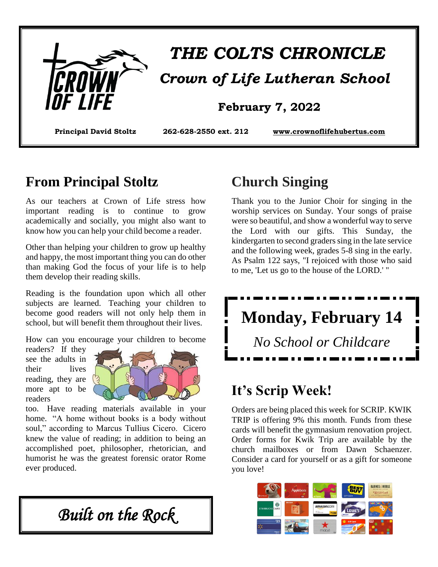

# *THE COLTS CHRONICLE Crown of Life Lutheran School*

#### **February 7, 2022**

**Principal David Stoltz 262-628-2550 ext. 212 [www.crownoflifehubertus.com](http://www.crownoflifehubertus.com/)**

#### **From Principal Stoltz**

As our teachers at Crown of Life stress how important reading is to continue to grow academically and socially, you might also want to know how you can help your child become a reader.

Other than helping your children to grow up healthy and happy, the most important thing you can do other than making God the focus of your life is to help them develop their reading skills.

Reading is the foundation upon which all other subjects are learned. Teaching your children to become good readers will not only help them in school, but will benefit them throughout their lives.

How can you encourage your children to become

readers? If they see the adults in their lives reading, they are more apt to be readers



too. Have reading materials available in your home. "A home without books is a body without soul," according to Marcus Tullius Cicero. Cicero knew the value of reading; in addition to being an accomplished poet, philosopher, rhetorician, and humorist he was the greatest forensic orator Rome ever produced.

*Built on the Rock* 

### **Church Singing**

Thank you to the Junior Choir for singing in the worship services on Sunday. Your songs of praise were so beautiful, and show a wonderful way to serve the Lord with our gifts. This Sunday, the kindergarten to second graders sing in the late service and the following week, grades 5-8 sing in the early. As Psalm 122 says, "I rejoiced with those who said to me, 'Let us go to the house of the LORD.' "



# **It's Scrip Week!**

Orders are being placed this week for SCRIP. KWIK TRIP is offering 9% this month. Funds from these cards will benefit the gymnasium renovation project. Order forms for Kwik Trip are available by the church mailboxes or from Dawn Schaenzer. Consider a card for yourself or as a gift for someone you love!

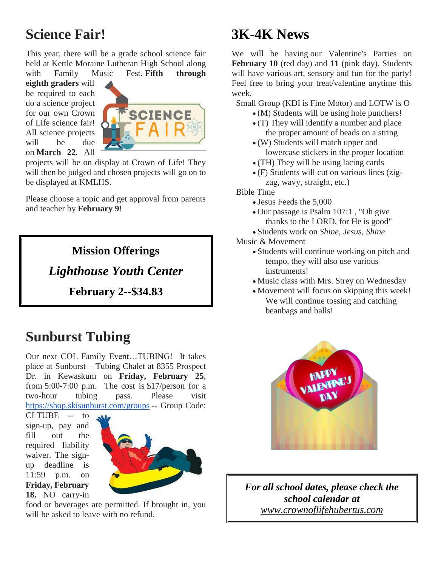# **Science Fair!**

This year, there will be a grade school science fair held at Kettle Moraine Lutheran High School along with Family Music Fest. **Fifth through** 

**eighth graders** will be required to each do a science project for our own Crown of Life science fair! All science projects will be due on **March 22**. All



projects will be on display at Crown of Life! They will then be judged and chosen projects will go on to be displayed at KMLHS.

Please choose a topic and get approval from parents and teacher by **February 9**!

#### **Mission Offerings**

*Lighthouse Youth Center* 

**February 2--\$34.83**

#### **Sunburst Tubing**

Our next COL Family Event…TUBING! It takes place at Sunburst – Tubing Chalet at 8355 Prospect Dr. in Kewaskum on **Friday, February 25**, from 5:00-7:00 p.m. The cost is \$17/person for a two-hour tubing pass. Please visit [https://shop.skisunburst.com/groups](https://urldefense.com/v3/__https:/shop.skisunburst.com/groups__;!!DOw_8Fim!c0j4FOyYATDvz5cQOIK-mQ0si6SudRZDfv0Iwsa5GqVsVJv_U0_T1cZYdZ3-0IdYFRLSrV4$) -- Group Code:

CLTUBE -- to sign-up, pay and fill out the required liability waiver. The signup deadline is 11:59 p.m. on **Friday, February 18.** NO carry-in



food or beverages are permitted. If brought in, you will be asked to leave with no refund.

### **3K-4K News**

We will be having our Valentine's Parties on **February 10** (red day) and **11** (pink day). Students will have various art, sensory and fun for the party! Feel free to bring your treat/valentine anytime this week.

Small Group (KDI is Fine Motor) and LOTW is O

- (M) Students will be using hole punchers!
- (T) They will identify a number and place the proper amount of beads on a string
- (W) Students will match upper and lowercase stickers in the proper location
- (TH) They will be using lacing cards
- (F) Students will cut on various lines (zigzag, wavy, straight, etc.)

Bible Time

- Jesus Feeds the 5,000
- Our passage is Psalm 107:1 , "Oh give thanks to the LORD, for He is good"
- Students work on *Shine, Jesus, Shine*
- Music & Movement
	- Students will continue working on pitch and tempo, they will also use various instruments!
	- Music class with Mrs. Strey on Wednesday
	- Movement will focus on skipping this week! We will continue tossing and catching beanbags and balls!



*For all school dates, please check the school calendar at [www.crownoflifehubertus.com](http://www.crownoflifehubertus.com/)*